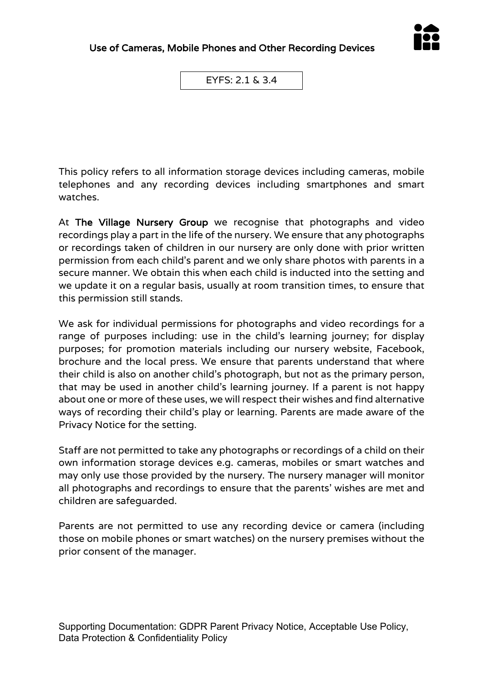

EYFS: 2.1 & 3.4

This policy refers to all information storage devices including cameras, mobile telephones and any recording devices including smartphones and smart watches.

At The Village Nursery Group we recognise that photographs and video recordings play a part in the life of the nursery. We ensure that any photographs or recordings taken of children in our nursery are only done with prior written permission from each child's parent and we only share photos with parents in a secure manner. We obtain this when each child is inducted into the setting and we update it on a regular basis, usually at room transition times, to ensure that this permission still stands.

We ask for individual permissions for photographs and video recordings for a range of purposes including: use in the child's learning journey; for display purposes; for promotion materials including our nursery website, Facebook, brochure and the local press. We ensure that parents understand that where their child is also on another child's photograph, but not as the primary person, that may be used in another child's learning journey. If a parent is not happy about one or more of these uses, we will respect their wishes and find alternative ways of recording their child's play or learning. Parents are made aware of the Privacy Notice for the setting.

Staff are not permitted to take any photographs or recordings of a child on their own information storage devices e.g. cameras, mobiles or smart watches and may only use those provided by the nursery. The nursery manager will monitor all photographs and recordings to ensure that the parents' wishes are met and children are safeguarded.

Parents are not permitted to use any recording device or camera (including those on mobile phones or smart watches) on the nursery premises without the prior consent of the manager.

Supporting Documentation: GDPR Parent Privacy Notice, Acceptable Use Policy, Data Protection & Confidentiality Policy